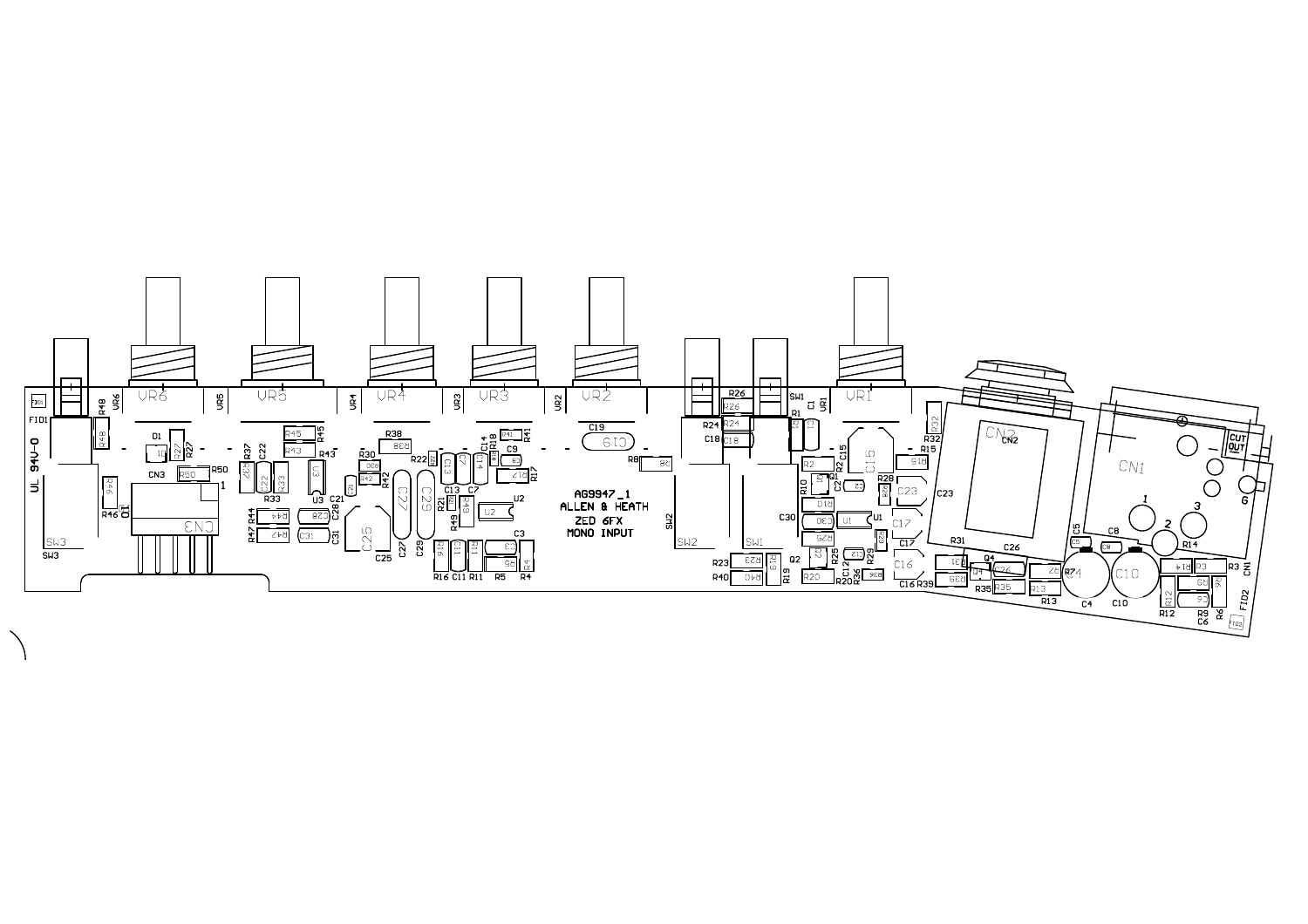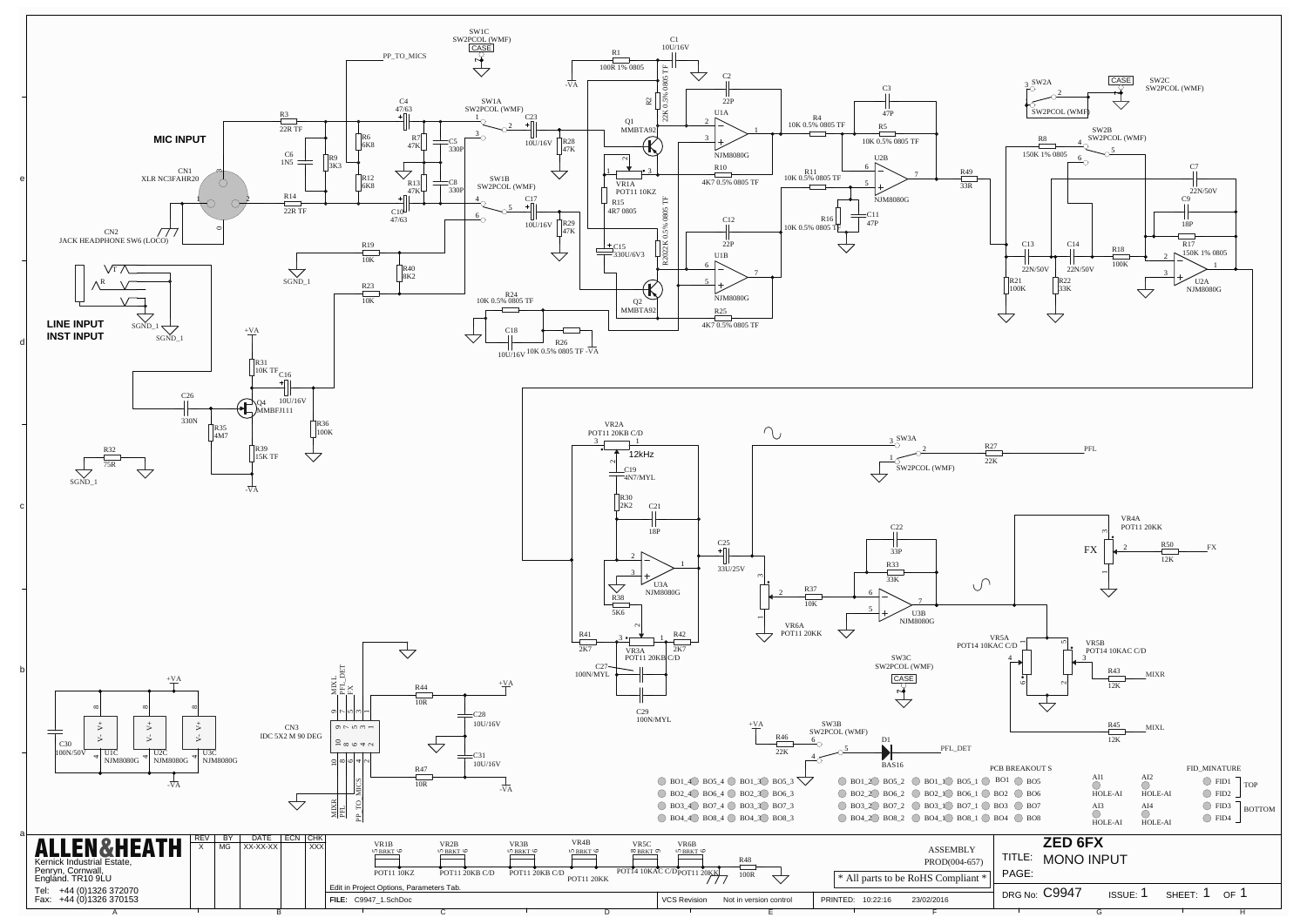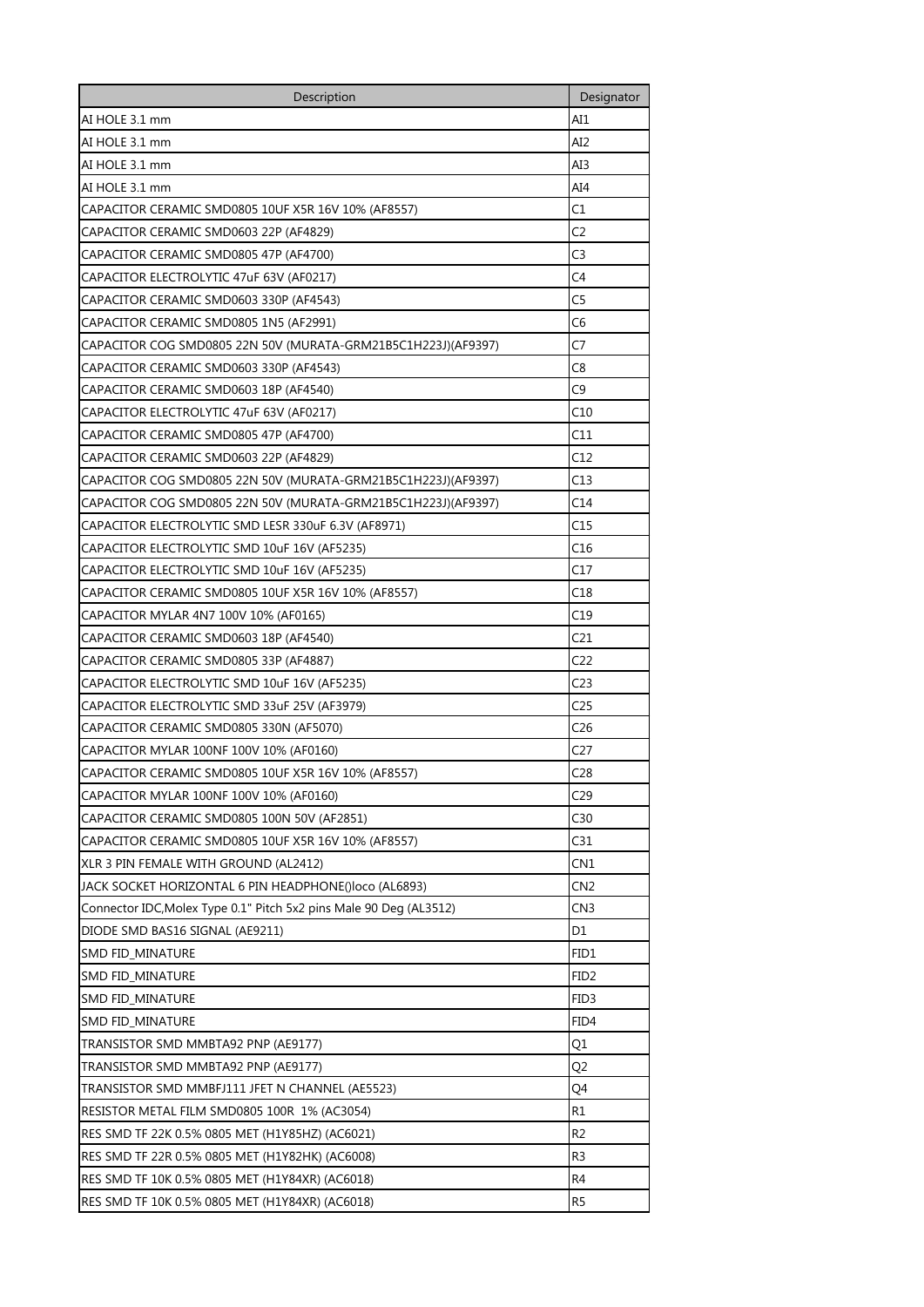| Description                                                        | Designator       |
|--------------------------------------------------------------------|------------------|
| AI HOLE 3.1 mm                                                     | AI1              |
| AI HOLE 3.1 mm                                                     | AI2              |
| AI HOLE 3.1 mm                                                     | AI3              |
| AI HOLE 3.1 mm                                                     | AI4              |
| CAPACITOR CERAMIC SMD0805 10UF X5R 16V 10% (AF8557)                | C1               |
| CAPACITOR CERAMIC SMD0603 22P (AF4829)                             | C2               |
| CAPACITOR CERAMIC SMD0805 47P (AF4700)                             | C3               |
| CAPACITOR ELECTROLYTIC 47uF 63V (AF0217)                           | C4               |
| CAPACITOR CERAMIC SMD0603 330P (AF4543)                            | C5               |
| CAPACITOR CERAMIC SMD0805 1N5 (AF2991)                             | С6               |
| CAPACITOR COG SMD0805 22N 50V (MURATA-GRM21B5C1H223J)(AF9397)      | C7               |
| CAPACITOR CERAMIC SMD0603 330P (AF4543)                            | C8               |
| CAPACITOR CERAMIC SMD0603 18P (AF4540)                             | C9               |
| CAPACITOR ELECTROLYTIC 47uF 63V (AF0217)                           | C10              |
| CAPACITOR CERAMIC SMD0805 47P (AF4700)                             | C11              |
| CAPACITOR CERAMIC SMD0603 22P (AF4829)                             | C12              |
| CAPACITOR COG SMD0805 22N 50V (MURATA-GRM21B5C1H223J)(AF9397)      | C13              |
| CAPACITOR COG SMD0805 22N 50V (MURATA-GRM21B5C1H223J)(AF9397)      | C14              |
| CAPACITOR ELECTROLYTIC SMD LESR 330uF 6.3V (AF8971)                | C15              |
| CAPACITOR ELECTROLYTIC SMD 10uF 16V (AF5235)                       | C16              |
| CAPACITOR ELECTROLYTIC SMD 10uF 16V (AF5235)                       | C17              |
| CAPACITOR CERAMIC SMD0805 10UF X5R 16V 10% (AF8557)                | C18              |
| CAPACITOR MYLAR 4N7 100V 10% (AF0165)                              | C19              |
| CAPACITOR CERAMIC SMD0603 18P (AF4540)                             | C21              |
| CAPACITOR CERAMIC SMD0805 33P (AF4887)                             | C22              |
| CAPACITOR ELECTROLYTIC SMD 10uF 16V (AF5235)                       | C23              |
| CAPACITOR ELECTROLYTIC SMD 33uF 25V (AF3979)                       | C25              |
| CAPACITOR CERAMIC SMD0805 330N (AF5070)                            | C26              |
| CAPACITOR MYLAR 100NF 100V 10% (AF0160)                            | C27              |
| CAPACITOR CERAMIC SMD0805 10UF X5R 16V 10% (AF8557)                | C28              |
| CAPACITOR MYLAR 100NF 100V 10% (AF0160)                            | C <sub>29</sub>  |
| CAPACITOR CERAMIC SMD0805 100N 50V (AF2851)                        | C30              |
| CAPACITOR CERAMIC SMD0805 10UF X5R 16V 10% (AF8557)                | C31              |
| XLR 3 PIN FEMALE WITH GROUND (AL2412)                              | CN1              |
| JACK SOCKET HORIZONTAL 6 PIN HEADPHONE()loco (AL6893)              | CN2              |
| Connector IDC, Molex Type 0.1" Pitch 5x2 pins Male 90 Deg (AL3512) | CN <sub>3</sub>  |
| DIODE SMD BAS16 SIGNAL (AE9211)                                    | D1               |
| <b>SMD FID MINATURE</b>                                            | FID1             |
| SMD FID_MINATURE                                                   | FID <sub>2</sub> |
| SMD FID_MINATURE                                                   | FID3             |
| SMD FID_MINATURE                                                   | FID4             |
| TRANSISTOR SMD MMBTA92 PNP (AE9177)                                | Q1               |
| TRANSISTOR SMD MMBTA92 PNP (AE9177)                                | Q2               |
| TRANSISTOR SMD MMBFJ111 JFET N CHANNEL (AE5523)                    | Q4               |
| RESISTOR METAL FILM SMD0805 100R 1% (AC3054)                       | R1               |
| RES SMD TF 22K 0.5% 0805 MET (H1Y85HZ) (AC6021)                    | R <sub>2</sub>   |
| RES SMD TF 22R 0.5% 0805 MET (H1Y82HK) (AC6008)                    | R3               |
| RES SMD TF 10K 0.5% 0805 MET (H1Y84XR) (AC6018)                    | R4               |
| RES SMD TF 10K 0.5% 0805 MET (H1Y84XR) (AC6018)                    | R5               |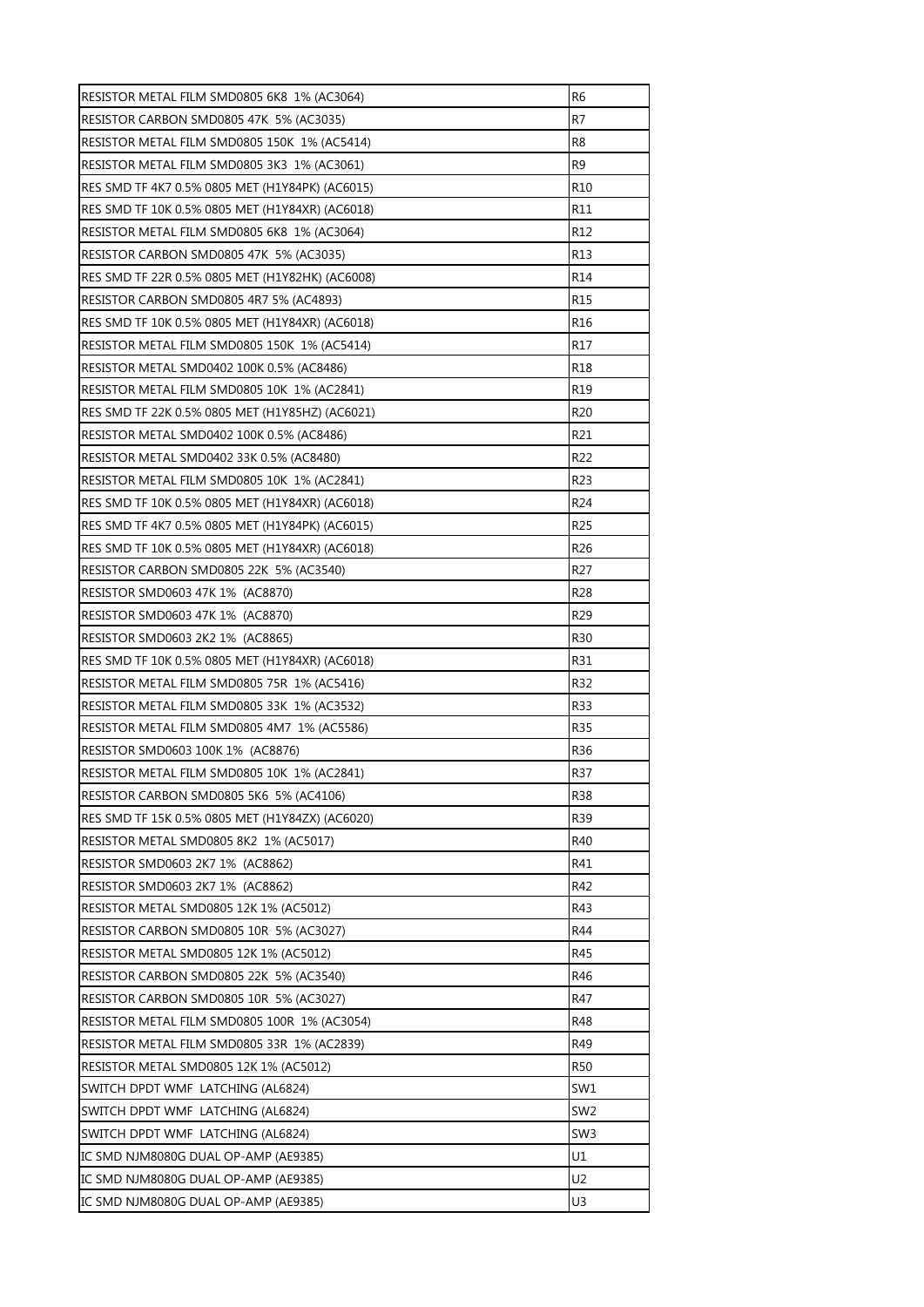| RESISTOR METAL FILM SMD0805 6K8 1% (AC3064)     | R <sub>6</sub>  |
|-------------------------------------------------|-----------------|
| RESISTOR CARBON SMD0805 47K 5% (AC3035)         | R7              |
| RESISTOR METAL FILM SMD0805 150K 1% (AC5414)    | R8              |
| RESISTOR METAL FILM SMD0805 3K3 1% (AC3061)     | R <sub>9</sub>  |
| RES SMD TF 4K7 0.5% 0805 MET (H1Y84PK) (AC6015) | R <sub>10</sub> |
| RES SMD TF 10K 0.5% 0805 MET (H1Y84XR) (AC6018) | R11             |
| RESISTOR METAL FILM SMD0805 6K8_1% (AC3064)     | R <sub>12</sub> |
| RESISTOR CARBON SMD0805 47K 5% (AC3035)         | R <sub>13</sub> |
| RES SMD TF 22R 0.5% 0805 MET (H1Y82HK) (AC6008) | R14             |
| RESISTOR CARBON SMD0805 4R7 5% (AC4893)         | R15             |
| RES SMD TF 10K 0.5% 0805 MET (H1Y84XR) (AC6018) | R <sub>16</sub> |
| RESISTOR METAL FILM SMD0805 150K 1% (AC5414)    | R <sub>17</sub> |
| RESISTOR METAL SMD0402 100K 0.5% (AC8486)       | R <sub>18</sub> |
| RESISTOR METAL FILM SMD0805 10K 1% (AC2841)     | R <sub>19</sub> |
| RES SMD TF 22K 0.5% 0805 MET (H1Y85HZ) (AC6021) | R <sub>20</sub> |
| RESISTOR METAL SMD0402 100K 0.5% (AC8486)       | R21             |
| RESISTOR METAL SMD0402 33K 0.5% (AC8480)        | R <sub>22</sub> |
| RESISTOR METAL FILM SMD0805 10K 1% (AC2841)     | R <sub>23</sub> |
| RES SMD TF 10K 0.5% 0805 MET (H1Y84XR) (AC6018) | R <sub>24</sub> |
| RES SMD TF 4K7 0.5% 0805 MET (H1Y84PK) (AC6015) | R <sub>25</sub> |
| RES SMD TF 10K 0.5% 0805 MET (H1Y84XR) (AC6018) | R <sub>26</sub> |
| RESISTOR CARBON SMD0805 22K 5% (AC3540)         | R <sub>27</sub> |
| RESISTOR SMD0603 47K 1% (AC8870)                | R <sub>28</sub> |
| RESISTOR SMD0603 47K 1% (AC8870)                | R <sub>29</sub> |
| RESISTOR SMD0603 2K2 1% (AC8865)                | R30             |
| RES SMD TF 10K 0.5% 0805 MET (H1Y84XR) (AC6018) | R31             |
| RESISTOR METAL FILM SMD0805 75R 1% (AC5416)     | R32             |
| RESISTOR METAL FILM SMD0805 33K 1% (AC3532)     | R33             |
| RESISTOR METAL FILM SMD0805 4M7 1% (AC5586)     | R35             |
| RESISTOR SMD0603 100K 1% (AC8876)               | R <sub>36</sub> |
| RESISTOR METAL FILM SMD0805 10K 1% (AC2841)     | R37             |
| RESISTOR CARBON SMD0805 5K6 5% (AC4106)         | <b>R38</b>      |
| RES SMD TF 15K 0.5% 0805 MET (H1Y84ZX) (AC6020) | R39             |
| RESISTOR METAL SMD0805 8K2 1% (AC5017)          | R40             |
| RESISTOR SMD0603 2K7 1% (AC8862)                | R41             |
| RESISTOR SMD0603 2K7 1% (AC8862)                | R42             |
| RESISTOR METAL SMD0805 12K 1% (AC5012)          | R43             |
| RESISTOR CARBON SMD0805 10R 5% (AC3027)         | R44             |
| RESISTOR METAL SMD0805 12K 1% (AC5012)          | R45             |
| RESISTOR CARBON SMD0805 22K 5% (AC3540)         | R46             |
| RESISTOR CARBON SMD0805 10R 5% (AC3027)         | R47             |
| RESISTOR METAL FILM SMD0805 100R 1% (AC3054)    | R48             |
| RESISTOR METAL FILM SMD0805 33R 1% (AC2839)     | R49             |
| RESISTOR METAL SMD0805 12K 1% (AC5012)          | <b>R50</b>      |
| SWITCH DPDT WMF LATCHING (AL6824)               | SW1             |
| SWITCH DPDT WMF LATCHING (AL6824)               | SW <sub>2</sub> |
| SWITCH DPDT WMF LATCHING (AL6824)               | SW <sub>3</sub> |
| IC SMD NJM8080G DUAL OP-AMP (AE9385)            | U1              |
| IC SMD NJM8080G DUAL OP-AMP (AE9385)            | U <sub>2</sub>  |
| IC SMD NJM8080G DUAL OP-AMP (AE9385)            | U3              |